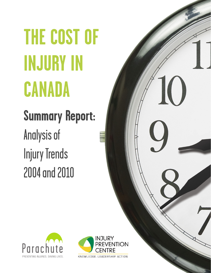# **THE COST OF INJURY IN CANADA**

## **Summary Report:**

Analysis of Injury Trends 2004 and 2010



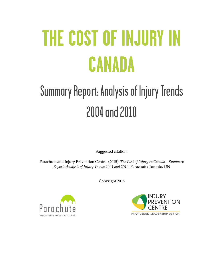# **THE COST OF INJURY IN CANADA**

## Summary Report: Analysis of Injury Trends 2004 and 2010

Suggested citation:

Parachute and Injury Prevention Centre. (2015). *The Cost of Injury in Canada – Summary Report: Analysis of Injury Trends 2004 and 2010.* Parachute: Toronto, ON

Copyright 2015



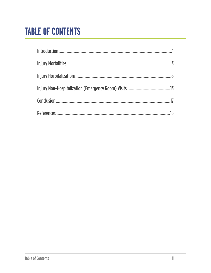## **TABLE OF CONTENTS**

| .18 |
|-----|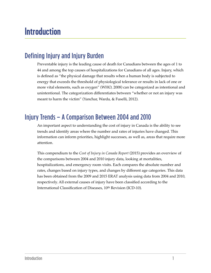## **Introduction**

#### Defining Injury and Injury Burden

Preventable injury is the leading cause of death for Canadians between the ages of 1 to 44 and among the top causes of hospitalizations for Canadians of all ages. Injury, which is defined as "the physical damage that results when a human body is subjected to energy that exceeds the threshold of physiological tolerance or results in lack of one or more vital elements, such as oxygen" (WHO, 2008) can be categorized as intentional and unintentional. The categorization differentiates between "whether or not an injury was meant to harm the victim" (Yanchar, Warda, & Fuselli, 2012).

#### Injury Trends – A Comparison Between 2004 and 2010

An important aspect to understanding the cost of injury in Canada is the ability to see trends and identify areas where the number and rates of injuries have changed. This information can inform priorities, highlight successes, as well as, areas that require more attention.

This compendium to the *Cost of Injury in Canada Report* (2015) provides an overview of the comparisons between 2004 and 2010 injury data, looking at mortalities, hospitalizations, and emergency room visits. Each compares the absolute number and rates, changes based on injury types, and changes by different age categories. This data has been obtained from the 2009 and 2015 ERAT analysis using data from 2004 and 2010, respectively. All external causes of injury have been classified according to the International Classification of Diseases, 10<sup>th</sup> Revision (ICD-10).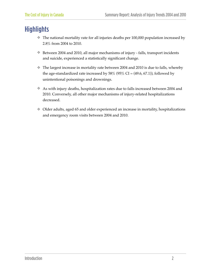#### **Highlights**

- ❖ The national mortality rate for all injuries deaths per 100,000 population increased by 2.8% from 2004 to 2010.
- ❖ Between 2004 and 2010, all major mechanisms of injury falls, transport incidents and suicide, experienced a statistically significant change.
- ❖ The largest increase in mortality rate between 2004 and 2010 is due to falls, whereby the age-standardized rate increased by  $58\%$  (95% CI = (49.6, 67.1)), followed by unintentional poisonings and drownings.
- ❖ As with injury deaths, hospitalization rates due to falls increased between 2004 and 2010. Conversely, all other major mechanisms of injury-related hospitalizations decreased.
- ❖ Older adults, aged 65 and older experienced an increase in mortality, hospitalizations and emergency room visits between 2004 and 2010.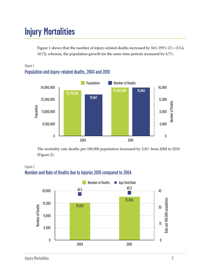## **Injury Mortalities**

Figure 1 shows that the number of injury-related deaths increased by  $16\%$  (95% CI = (13.4, 18.7)), whereas, the population growth for the same time periods increased by 6.7%.

#### Figure 1 Population and injury-related deaths, 2004 and 2010



The mortality rate deaths per 100,000 population increased by 2.8% from 2004 to 2010 (Figure 2).



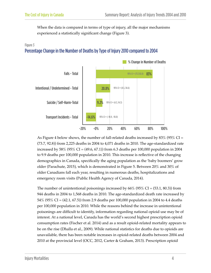When the data is compared in terms of type of injury, all the major mechanisms experienced a statistically significant change (Figure 3).



Percentage Change in the Number of Deaths by Type of Injury 2010 compared to 2004



As Figure 4 below shows, the number of fall-related deaths increased by  $83\%$  (95% CI = (73.7, 92.8)) from 2,225 deaths in 2004 to 4,071 deaths in 2010. The age-standardized rate increased by 58% (95% CI =  $(49.6, 67.1)$ ) from 6.3 deaths per 100,000 population in 2004 to 9.9 deaths per 100,000 population in 2010. This increase is reflective of the changing demographics in Canada, specifically the aging population as the 'baby boomers' grow older (Parachute, 2015), which is demonstrated in Figure 5. Between 20% and 30% of older Canadians fall each year, resulting in numerous deaths, hospitalizations and emergency room visits (Public Health Agency of Canada, 2014).

The number of unintentional poisonings increased by  $66\%$  (95\% CI = (53.1, 80.3)) from 944 deaths in 2004 to 1,568 deaths in 2010. The age-standardized death rate increased by 54% (95% CI = (42.1, 67.5)) from 2.9 deaths per 100,000 population in 2004 to 4.4 deaths per 100,000 population in 2010. While the reasons behind the increase in unintentional poisonings are difficult to identify, information regarding national opioid use may be of interest. At a national level, Canada has the world's second highest prescription opioid consumption rates (Fischer et al. 2014) and as a result opioid-related mortality appears to be on the rise (Dhalla et al., 2009). While national statistics for deaths due to opioids are unavailable, there has been notable increases in opioid-related deaths between 2004 and 2010 at the provincial level (OCC, 2012, Carter & Graham, 2013). Prescription opioid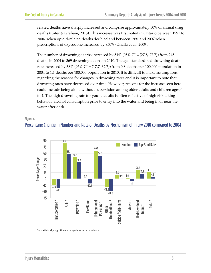related deaths have sharply increased and comprise approximately 50% of annual drug deaths (Cater & Graham, 2013). This increase was first noted in Ontario between 1991 to 2004, when opioid-related deaths doubled and between 1991 and 2007 when prescriptions of oxycodone increased by 850% (Dhalla et al., 2009).

The number of drowning deaths increased by  $51\%$  (95% CI = (27.8, 77.7)) from 245 deaths in 2004 to 369 drowning deaths in 2010. The age-standardized drowning death rate increased by 38% (95% CI = (17.7, 62.7)) from 0.8 deaths per 100,000 population in 2004 to 1.1 deaths per 100,000 population in 2010. It is difficult to make assumptions regarding the reasons for changes in drowning rates and it is important to note that drowning rates have decreased over time. However, reasons for the increase seen here could include being alone without supervision among older adults and children ages 0 to 4. The high drowning rate for young adults is often reflective of high risk taking behavior, alcohol consumption prior to entry into the water and being in or near the water after dark.

#### Figure 4

#### Percentage Change in Number and Rate of Deaths by Mechanism of Injury 2010 compared to 2004



\*= statistically significant change in number and rate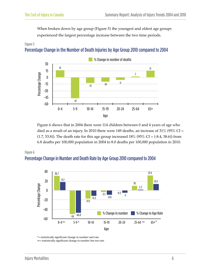When broken down by age group (Figure 5) the youngest and oldest age groups experienced the largest percentage increase between the two time periods.

Figure 5

#### Percentage Change in the Number of Death Injuries by Age Group 2010 compared to 2004



Figure 6 shows that in 2004 there were 114 children between 0 and 4 years of age who died as a result of an injury. In 2010 there were 149 deaths, an increase of 31% (95% CI = (1.7, 53.8)). The death rate for this age group increased  $18\%$  (95% CI = (-8.4, 38.6)) from 6.8 deaths per 100,000 population in 2004 to 8.0 deaths per 100,000 population in 2010.

#### Figure 6 Percentage Change in Number and Death Rate by Age Group 2010 compared to 2004



\*= statistically significant change in number and rate ∞= statistically significant change in number but not rate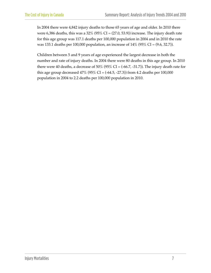In 2004 there were 4,842 injury deaths to those 65 years of age and older. In 2010 there were 6,386 deaths, this was a  $32\%$  (95% CI = (27.0, 53.9)) increase. The injury death rate for this age group was 117.1 deaths per 100,000 population in 2004 and in 2010 the rate was 133.1 deaths per 100,000 population, an increase of 14% (95% CI = (9.6, 32.7)).

Children between 5 and 9 years of age experienced the largest decrease in both the number and rate of injury deaths. In 2004 there were 80 deaths in this age group. In 2010 there were 40 deaths, a decrease of 50% (95% CI =  $(-66.7, -31.7)$ ). The injury death rate for this age group decreased  $47\%$  (95% CI = (-64.5, -27.3)) from 4.2 deaths per 100,000 population in 2004 to 2.2 deaths per 100,000 population in 2010.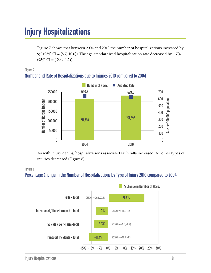## <span id="page-10-0"></span>**Injury Hospitalizations**

Figure 7 shows that between 2004 and 2010 the number of hospitalizations increased by  $9\%$  (95% CI = (8.7, 10.0)). The age-standardized hospitalization rate decreased by 1.7%  $(95\% \text{ CI} = (-2.4, -1.2)).$ 

#### Figure 7 Number and Rate of Hospitalizations due to Injuries 2010 compared to 2004



As with injury deaths, hospitalizations associated with falls increased. All other types of injuries decreased (Figure 8).

Figure 8

#### Percentage Change in the Number of Hospitalizations by Type of Injury 2010 compared to 2004

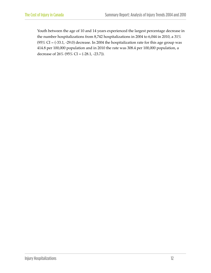Youth between the age of 10 and 14 years experienced the largest percentage decrease in the number hospitalizations from 8,742 hospitalizations in 2004 to 6,044 in 2010, a 31% (95% CI =  $(-33.1, -29.0)$  decrease. In 2004 the hospitalization rate for this age group was 414.8 per 100,000 population and in 2010 the rate was 308.4 per 100,000 population, a decrease of  $26\%$  (95% CI = (-28.1, -23.7)).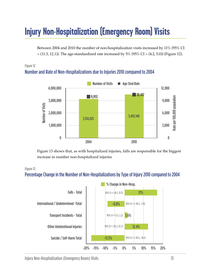## **Injury Non-Hospitalization (Emergency Room) Visits**

Between 2004 and 2010 the number of non-hospitalization visits increased by 11% (95% CI  $=$  (11.3, 12.1)). The age-standardized rate increased by  $5\%$  (95% CI = (4.2, 5.0)) (Figure 12).

#### Figure 12

#### Number and Rate of Non-Hospitalizations due to Injuries 2010 compared to 2004



Figure 13 shows that, as with hospitalized injuries, falls are responsible for the biggest increase in number non-hospitalized injuries

#### Figure 13

#### Percentage Change in the Number of Non-Hospitalizations by Type of Injury 2010 compared to 2004

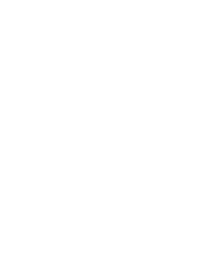## TABLE OF CONTENTS

| 7              | $h$ hhhhhhhhhhhhhhhhhhhhhhhhhhhhhhhhhmh $\hbar$ hh |
|----------------|----------------------------------------------------|
| $\sqrt{2}$     |                                                    |
| $\overline{2}$ | hhhhhhhhhhhhhhhhhhhhhhhhhhhhhhh                    |
| <b>FREED</b>   | hhhhhhhhhhhhh <b>hmhin</b> hh                      |
| $\overline{2}$ | hhhhhhhhhhhhhhhhhhhhhhhhhhhhhhhh                   |
| 2              |                                                    |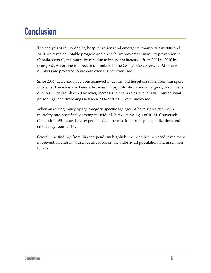### **Conclusion**

The analysis of injury deaths, hospitalizations and emergency room visits in 2004 and 2010 has revealed notable progress and areas for improvement in injury prevention in Canada. Overall, the mortality rate due to injury has increased from 2004 to 2010 by nearly 3%. According to forecasted numbers in the *Cost of Injury Report (2015),* these numbers are projected to increase even further over time.

Since 2004, decreases have been achieved in deaths and hospitalizations from transport incidents. There has also been a decrease in hospitalizations and emergency room visits due to suicide/self-harm. However, increases in death rates due to falls, unintentional poisonings, and drownings between 2004 and 2010 were uncovered.

When analyzing injury by age category, specific age groups have seen a decline in mortality rate, specifically among individuals between the ages of 10-64. Conversely, older adults 65+ years have experienced an increase in mortality, hospitalizations and emergency room visits.

Overall, the findings from this compendium highlight the need for increased investment in prevention efforts, with a specific focus on the older adult population and in relation to falls.